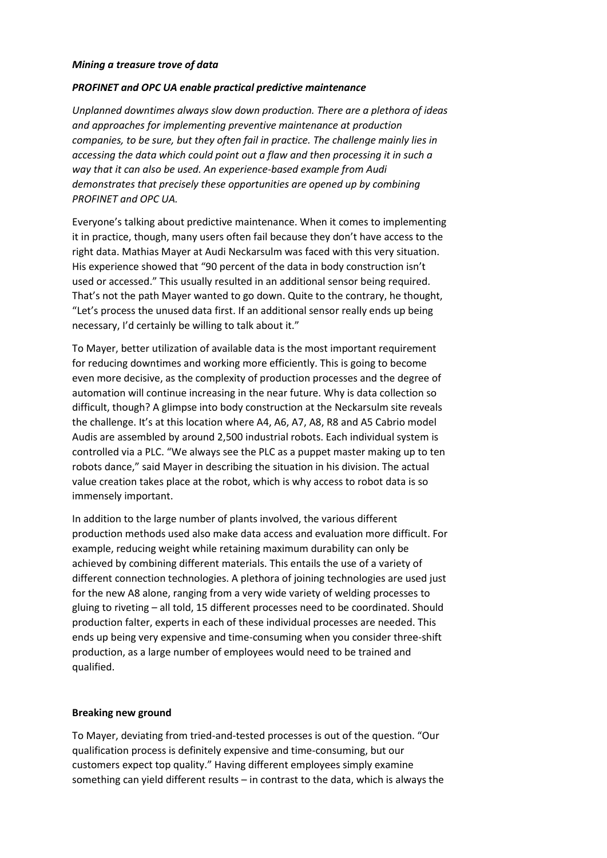## *Mining a treasure trove of data*

## *PROFINET and OPC UA enable practical predictive maintenance*

*Unplanned downtimes always slow down production. There are a plethora of ideas and approaches for implementing preventive maintenance at production companies, to be sure, but they often fail in practice. The challenge mainly lies in accessing the data which could point out a flaw and then processing it in such a way that it can also be used. An experience-based example from Audi demonstrates that precisely these opportunities are opened up by combining PROFINET and OPC UA.* 

Everyone's talking about predictive maintenance. When it comes to implementing it in practice, though, many users often fail because they don't have access to the right data. Mathias Mayer at Audi Neckarsulm was faced with this very situation. His experience showed that "90 percent of the data in body construction isn't used or accessed." This usually resulted in an additional sensor being required. That's not the path Mayer wanted to go down. Quite to the contrary, he thought, "Let's process the unused data first. If an additional sensor really ends up being necessary, I'd certainly be willing to talk about it."

To Mayer, better utilization of available data is the most important requirement for reducing downtimes and working more efficiently. This is going to become even more decisive, as the complexity of production processes and the degree of automation will continue increasing in the near future. Why is data collection so difficult, though? A glimpse into body construction at the Neckarsulm site reveals the challenge. It's at this location where A4, A6, A7, A8, R8 and A5 Cabrio model Audis are assembled by around 2,500 industrial robots. Each individual system is controlled via a PLC. "We always see the PLC as a puppet master making up to ten robots dance," said Mayer in describing the situation in his division. The actual value creation takes place at the robot, which is why access to robot data is so immensely important.

In addition to the large number of plants involved, the various different production methods used also make data access and evaluation more difficult. For example, reducing weight while retaining maximum durability can only be achieved by combining different materials. This entails the use of a variety of different connection technologies. A plethora of joining technologies are used just for the new A8 alone, ranging from a very wide variety of welding processes to gluing to riveting – all told, 15 different processes need to be coordinated. Should production falter, experts in each of these individual processes are needed. This ends up being very expensive and time-consuming when you consider three-shift production, as a large number of employees would need to be trained and qualified.

#### **Breaking new ground**

To Mayer, deviating from tried-and-tested processes is out of the question. "Our qualification process is definitely expensive and time-consuming, but our customers expect top quality." Having different employees simply examine something can yield different results – in contrast to the data, which is always the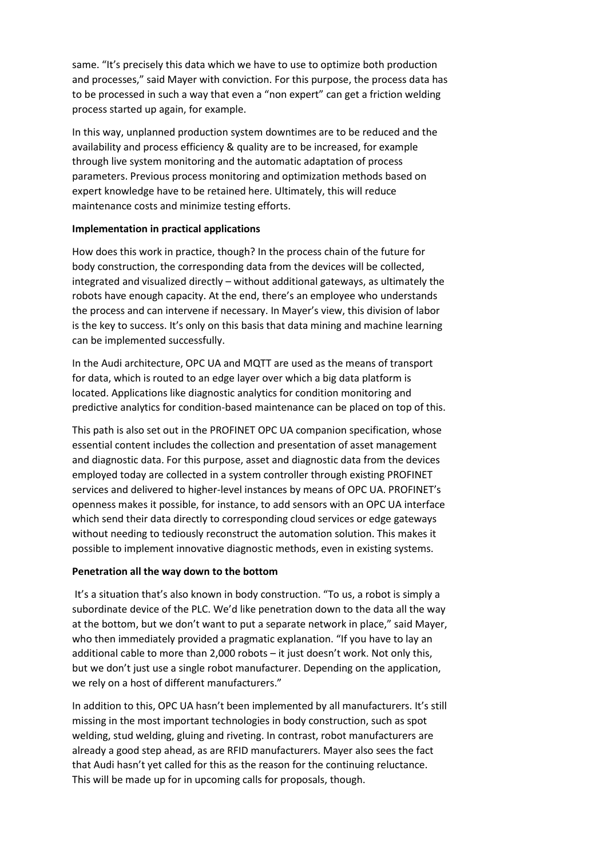same. "It's precisely this data which we have to use to optimize both production and processes," said Mayer with conviction. For this purpose, the process data has to be processed in such a way that even a "non expert" can get a friction welding process started up again, for example.

In this way, unplanned production system downtimes are to be reduced and the availability and process efficiency & quality are to be increased, for example through live system monitoring and the automatic adaptation of process parameters. Previous process monitoring and optimization methods based on expert knowledge have to be retained here. Ultimately, this will reduce maintenance costs and minimize testing efforts.

## **Implementation in practical applications**

How does this work in practice, though? In the process chain of the future for body construction, the corresponding data from the devices will be collected, integrated and visualized directly – without additional gateways, as ultimately the robots have enough capacity. At the end, there's an employee who understands the process and can intervene if necessary. In Mayer's view, this division of labor is the key to success. It's only on this basis that data mining and machine learning can be implemented successfully.

In the Audi architecture, OPC UA and MQTT are used as the means of transport for data, which is routed to an edge layer over which a big data platform is located. Applications like diagnostic analytics for condition monitoring and predictive analytics for condition-based maintenance can be placed on top of this.

This path is also set out in the PROFINET OPC UA companion specification, whose essential content includes the collection and presentation of asset management and diagnostic data. For this purpose, asset and diagnostic data from the devices employed today are collected in a system controller through existing PROFINET services and delivered to higher-level instances by means of OPC UA. PROFINET's openness makes it possible, for instance, to add sensors with an OPC UA interface which send their data directly to corresponding cloud services or edge gateways without needing to tediously reconstruct the automation solution. This makes it possible to implement innovative diagnostic methods, even in existing systems.

# **Penetration all the way down to the bottom**

It's a situation that's also known in body construction. "To us, a robot is simply a subordinate device of the PLC. We'd like penetration down to the data all the way at the bottom, but we don't want to put a separate network in place," said Mayer, who then immediately provided a pragmatic explanation. "If you have to lay an additional cable to more than 2,000 robots – it just doesn't work. Not only this, but we don't just use a single robot manufacturer. Depending on the application, we rely on a host of different manufacturers."

In addition to this, OPC UA hasn't been implemented by all manufacturers. It's still missing in the most important technologies in body construction, such as spot welding, stud welding, gluing and riveting. In contrast, robot manufacturers are already a good step ahead, as are RFID manufacturers. Mayer also sees the fact that Audi hasn't yet called for this as the reason for the continuing reluctance. This will be made up for in upcoming calls for proposals, though.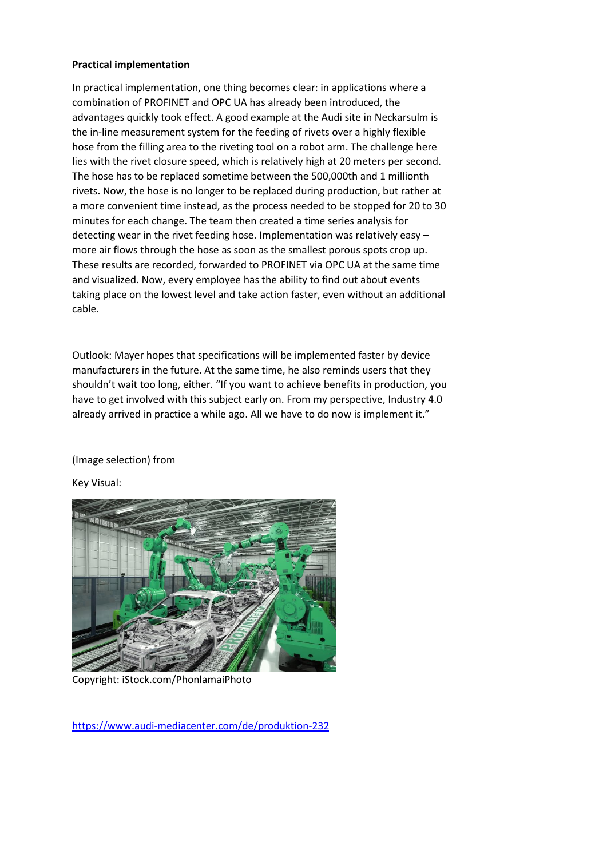## **Practical implementation**

In practical implementation, one thing becomes clear: in applications where a combination of PROFINET and OPC UA has already been introduced, the advantages quickly took effect. A good example at the Audi site in Neckarsulm is the in-line measurement system for the feeding of rivets over a highly flexible hose from the filling area to the riveting tool on a robot arm. The challenge here lies with the rivet closure speed, which is relatively high at 20 meters per second. The hose has to be replaced sometime between the 500,000th and 1 millionth rivets. Now, the hose is no longer to be replaced during production, but rather at a more convenient time instead, as the process needed to be stopped for 20 to 30 minutes for each change. The team then created a time series analysis for detecting wear in the rivet feeding hose. Implementation was relatively easy – more air flows through the hose as soon as the smallest porous spots crop up. These results are recorded, forwarded to PROFINET via OPC UA at the same time and visualized. Now, every employee has the ability to find out about events taking place on the lowest level and take action faster, even without an additional cable.

Outlook: Mayer hopes that specifications will be implemented faster by device manufacturers in the future. At the same time, he also reminds users that they shouldn't wait too long, either. "If you want to achieve benefits in production, you have to get involved with this subject early on. From my perspective, Industry 4.0 already arrived in practice a while ago. All we have to do now is implement it."

## (Image selection) from

Key Visual:



Copyright: iStock.com/PhonlamaiPhoto

<https://www.audi-mediacenter.com/de/produktion-232>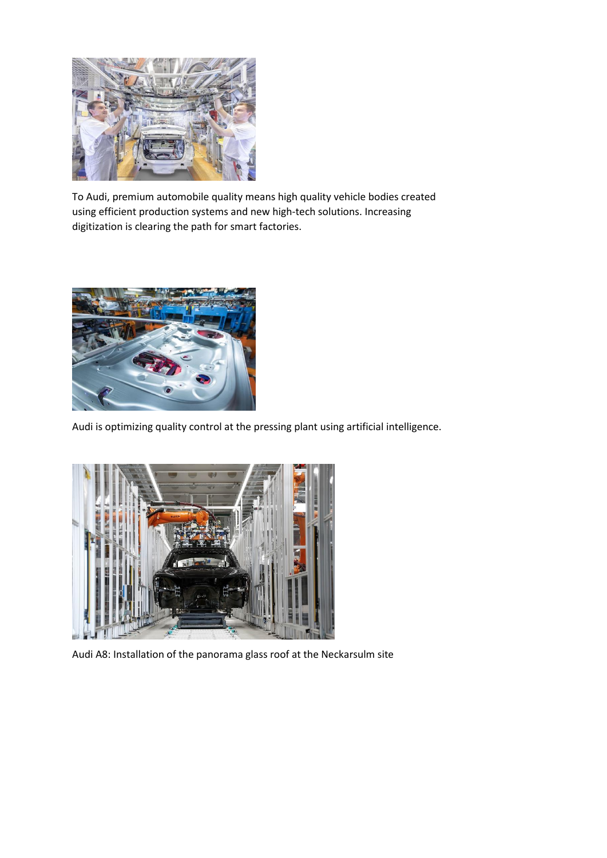

To Audi, premium automobile quality means high quality vehicle bodies created using efficient production systems and new high-tech solutions. Increasing digitization is clearing the path for smart factories.



Audi is optimizing quality control at the pressing plant using artificial intelligence.



Audi A8: Installation of the panorama glass roof at the Neckarsulm site